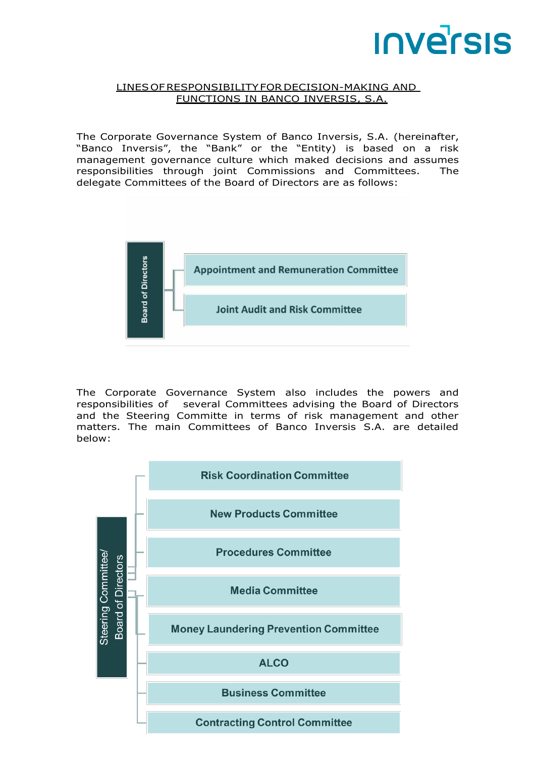# **INVErSIS**

#### LINESOFRESPONSIBILITYFORDECISION-MAKING AND FUNCTIONS IN BANCO INVERSIS, S.A.

The Corporate Governance System of Banco Inversis, S.A. (hereinafter, "Banco Inversis", the "Bank" or the "Entity) is based on a risk management governance culture which maked decisions and assumes responsibilities through joint Commissions and Committees. The delegate Committees of the Board of Directors are as follows:



The Corporate Governance System also includes the powers and responsibilities of several Committees advising the Board of Directors and the Steering Committe in terms of risk management and other matters. The main Committees of Banco Inversis S.A. are detailed below:

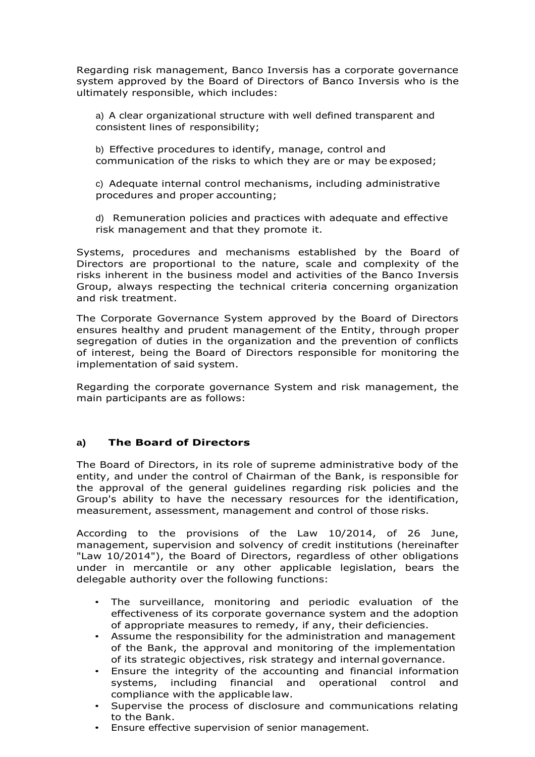Regarding risk management, Banco Inversis has a corporate governance system approved by the Board of Directors of Banco Inversis who is the ultimately responsible, which includes:

a) A clear organizational structure with well defined transparent and consistent lines of responsibility;

b) Effective procedures to identify, manage, control and communication of the risks to which they are or may be exposed;

c) Adequate internal control mechanisms, including administrative procedures and proper accounting;

d) Remuneration policies and practices with adequate and effective risk management and that they promote it.

Systems, procedures and mechanisms established by the Board of Directors are proportional to the nature, scale and complexity of the risks inherent in the business model and activities of the Banco Inversis Group, always respecting the technical criteria concerning organization and risk treatment.

The Corporate Governance System approved by the Board of Directors ensures healthy and prudent management of the Entity, through proper segregation of duties in the organization and the prevention of conflicts of interest, being the Board of Directors responsible for monitoring the implementation of said system.

Regarding the corporate governance System and risk management, the main participants are as follows:

#### **a) The Board of Directors**

The Board of Directors, in its role of supreme administrative body of the entity, and under the control of Chairman of the Bank, is responsible for the approval of the general guidelines regarding risk policies and the Group's ability to have the necessary resources for the identification, measurement, assessment, management and control of those risks.

According to the provisions of the Law 10/2014, of 26 June, management, supervision and solvency of credit institutions (hereinafter "Law 10/2014"), the Board of Directors, regardless of other obligations under in mercantile or any other applicable legislation, bears the delegable authority over the following functions:

- The surveillance, monitoring and periodic evaluation of the effectiveness of its corporate governance system and the adoption of appropriate measures to remedy, if any, their deficiencies.
- Assume the responsibility for the administration and management of the Bank, the approval and monitoring of the implementation of its strategic objectives, risk strategy and internal governance.
- Ensure the integrity of the accounting and financial information systems, including financial and operational control and compliance with the applicable law.
- Supervise the process of disclosure and communications relating to the Bank.
- Ensure effective supervision of senior management.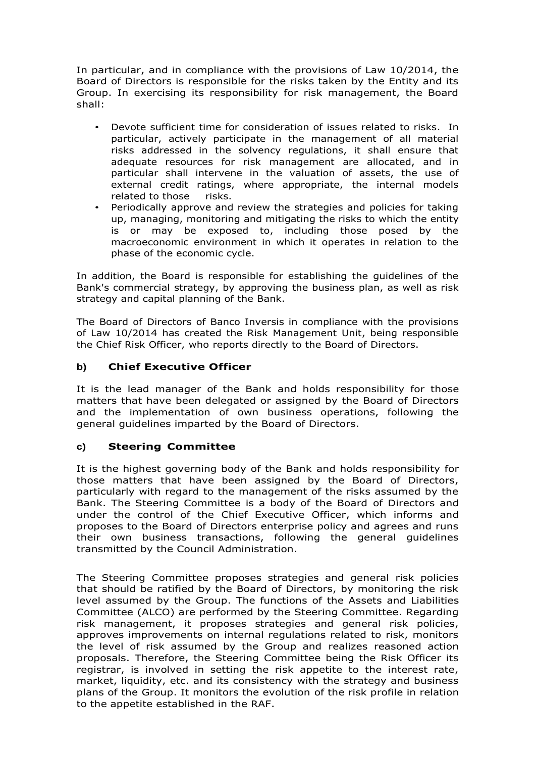In particular, and in compliance with the provisions of Law 10/2014, the Board of Directors is responsible for the risks taken by the Entity and its Group. In exercising its responsibility for risk management, the Board shall:

- Devote sufficient time for consideration of issues related to risks. In particular, actively participate in the management of all material risks addressed in the solvency regulations, it shall ensure that adequate resources for risk management are allocated, and in particular shall intervene in the valuation of assets, the use of external credit ratings, where appropriate, the internal models related to those risks.
- Periodically approve and review the strategies and policies for taking up, managing, monitoring and mitigating the risks to which the entity is or may be exposed to, including those posed by the macroeconomic environment in which it operates in relation to the phase of the economic cycle.

In addition, the Board is responsible for establishing the guidelines of the Bank's commercial strategy, by approving the business plan, as well as risk strategy and capital planning of the Bank.

The Board of Directors of Banco Inversis in compliance with the provisions of Law 10/2014 has created the Risk Management Unit, being responsible the Chief Risk Officer, who reports directly to the Board of Directors.

## **b) Chief Executive Officer**

It is the lead manager of the Bank and holds responsibility for those matters that have been delegated or assigned by the Board of Directors and the implementation of own business operations, following the general guidelines imparted by the Board of Directors.

#### **c) Steering Committee**

It is the highest governing body of the Bank and holds responsibility for those matters that have been assigned by the Board of Directors, particularly with regard to the management of the risks assumed by the Bank. The Steering Committee is a body of the Board of Directors and under the control of the Chief Executive Officer, which informs and proposes to the Board of Directors enterprise policy and agrees and runs their own business transactions, following the general guidelines transmitted by the Council Administration.

The Steering Committee proposes strategies and general risk policies that should be ratified by the Board of Directors, by monitoring the risk level assumed by the Group. The functions of the Assets and Liabilities Committee (ALCO) are performed by the Steering Committee. Regarding risk management, it proposes strategies and general risk policies, approves improvements on internal regulations related to risk, monitors the level of risk assumed by the Group and realizes reasoned action proposals. Therefore, the Steering Committee being the Risk Officer its registrar, is involved in setting the risk appetite to the interest rate, market, liquidity, etc. and its consistency with the strategy and business plans of the Group. It monitors the evolution of the risk profile in relation to the appetite established in the RAF.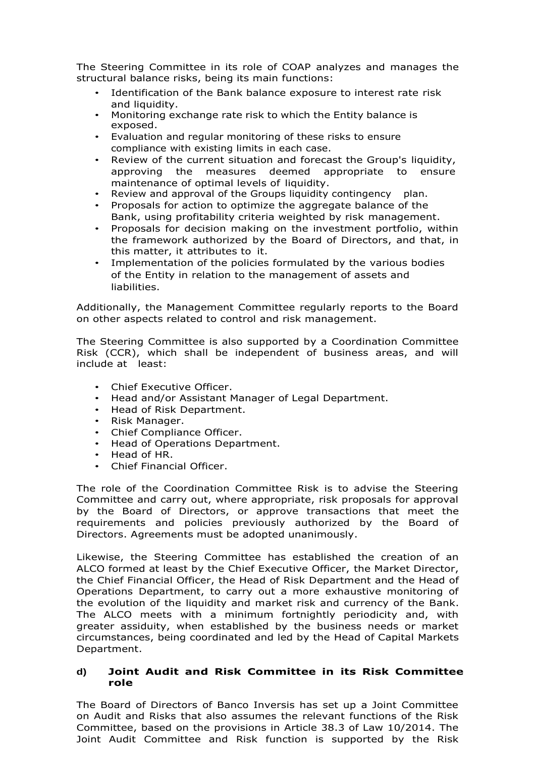The Steering Committee in its role of COAP analyzes and manages the structural balance risks, being its main functions:

- Identification of the Bank balance exposure to interest rate risk and liquidity.
- Monitoring exchange rate risk to which the Entity balance is exposed.
- Evaluation and regular monitoring of these risks to ensure compliance with existing limits in each case.
- Review of the current situation and forecast the Group's liquidity, approving the measures deemed appropriate to ensure maintenance of optimal levels of liquidity.
- Review and approval of the Groups liquidity contingency plan.
- Proposals for action to optimize the aggregate balance of the Bank, using profitability criteria weighted by risk management.
- Proposals for decision making on the investment portfolio, within the framework authorized by the Board of Directors, and that, in this matter, it attributes to it.
- Implementation of the policies formulated by the various bodies of the Entity in relation to the management of assets and liabilities.

Additionally, the Management Committee regularly reports to the Board on other aspects related to control and risk management.

The Steering Committee is also supported by a Coordination Committee Risk (CCR), which shall be independent of business areas, and will include at least:

- Chief Executive Officer.
- Head and/or Assistant Manager of Legal Department.
- Head of Risk Department.
- Risk Manager.
- Chief Compliance Officer.
- Head of Operations Department.
- Head of HR.
- Chief Financial Officer.

The role of the Coordination Committee Risk is to advise the Steering Committee and carry out, where appropriate, risk proposals for approval by the Board of Directors, or approve transactions that meet the requirements and policies previously authorized by the Board of Directors. Agreements must be adopted unanimously.

Likewise, the Steering Committee has established the creation of an ALCO formed at least by the Chief Executive Officer, the Market Director, the Chief Financial Officer, the Head of Risk Department and the Head of Operations Department, to carry out a more exhaustive monitoring of the evolution of the liquidity and market risk and currency of the Bank. The ALCO meets with a minimum fortnightly periodicity and, with greater assiduity, when established by the business needs or market circumstances, being coordinated and led by the Head of Capital Markets Department.

#### **d) Joint Audit and Risk Committee in its Risk Committee role**

The Board of Directors of Banco Inversis has set up a Joint Committee on Audit and Risks that also assumes the relevant functions of the Risk Committee, based on the provisions in Article 38.3 of Law 10/2014. The Joint Audit Committee and Risk function is supported by the Risk